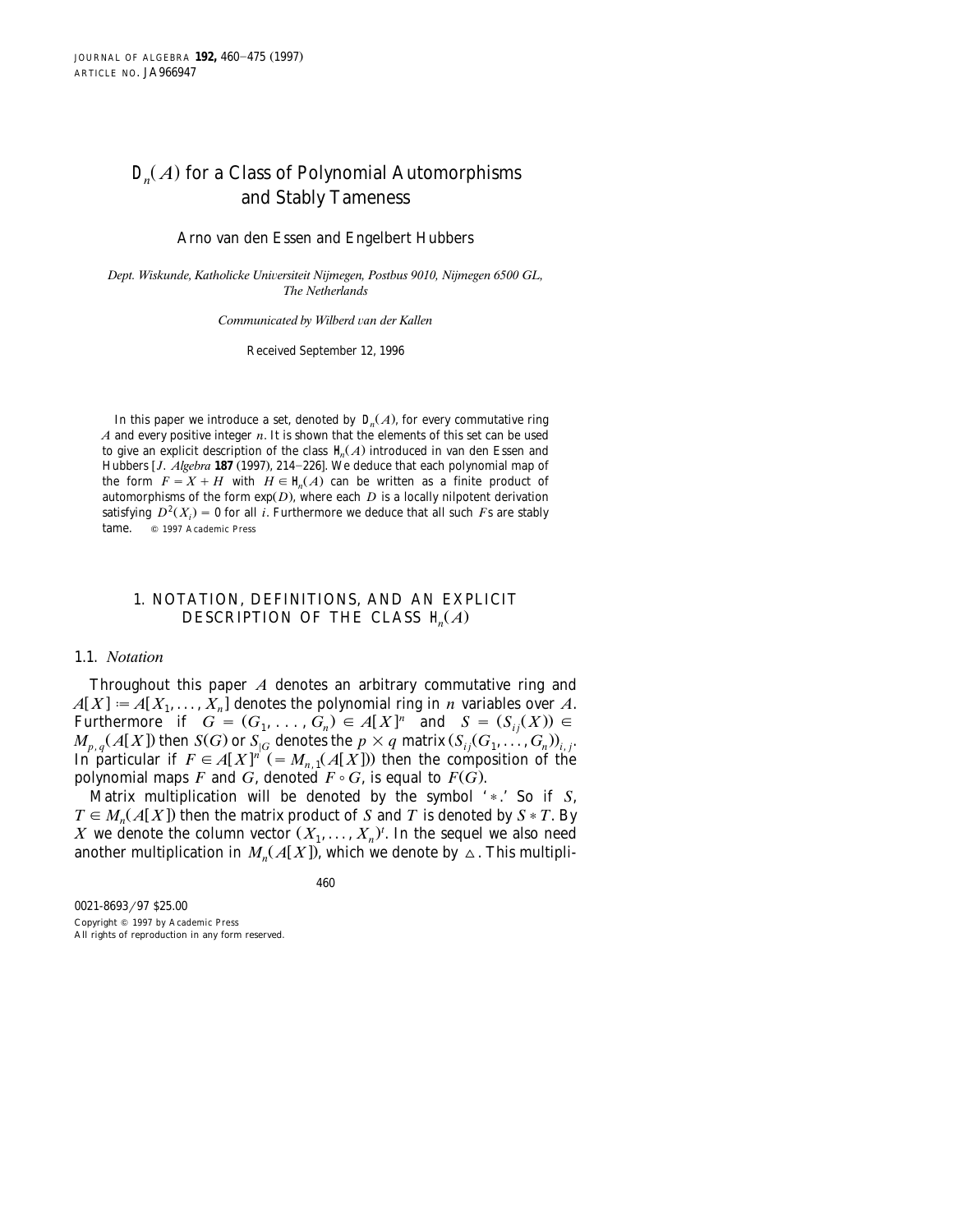# $D_n(A)$  for a Class of Polynomial Automorphisms and Stably Tameness

Arno van den Essen and Engelbert Hubbers

Dept. Wiskunde, Katholicke Universiteit Nijmegen, Postbus 9010, Nijmegen 6500 GL, *The Netherlands*

*Communicated by Wilberd* ¨*an der Kallen*

Received September 12, 1996

In this paper we introduce a set, denoted by  $\mathcal{L}(A)$ , for every commutative ring *A* and every positive integer *n*. It is shown that the elements of this set can be used to give an explicit description of the class  $\not\!\equiv\!\!\!\!\!\!\langle A \rangle$  introduced in van den Essen and Hubbers [*J. Algebra* 187 (1997), 214-226]. We deduce that each polynomial map of the form  $F = X + H$  with  $H \in H(A)$  can be written as a finite product of automorphisms of the form  $exp(D)$ , where each  $D$  is a locally nilpotent derivation satisfying  $D^2(X_i) = 0$  for all *i*. Furthermore we deduce that all such *F*s are stably tame. 
© 1997 Academic Press

### 1. NOTATION, DEFINITIONS, AND AN EXPLICIT DESCRIPTION OF THE CLASS  $H_n(A)$

#### 1.1. *Notation*

Throughout this paper *A* denotes an arbitrary commutative ring and  $A[X] := A[X_1, \ldots, X_n]$  denotes the polynomial ring in *n* variables over *A*. Furthermore if  $G = (G_1, \ldots, G_n) \in A[X]^n$  and  $S = (S_{ij}(X)) \in$  $M_{p,q}(A[X])$  then  $S(G)$  or  $S_{|G}$  denotes the  $p \times q$  matrix  $(S_{ij}(G_1, \ldots, G_n))_{i,j}$ . In particular if  $F \in A[X]^n$  (=  $M_{n,1}(A[X])$ ) then the composition of the polynomial maps *F* and *G*, denoted  $F \circ G$ , is equal to  $F(G)$ .

Matrix multiplication will be denoted by the symbol '\*.' So if *S*,  $T \in M_n(A[X])$  then the matrix product of *S* and *T* is denoted by  $S * T$ . By X we denote the column vector  $(X_1, \ldots, X_n)^t$ . In the sequel we also need another multiplication in  $M_n(A[X])$ , which we denote by  $\Delta$ . This multipli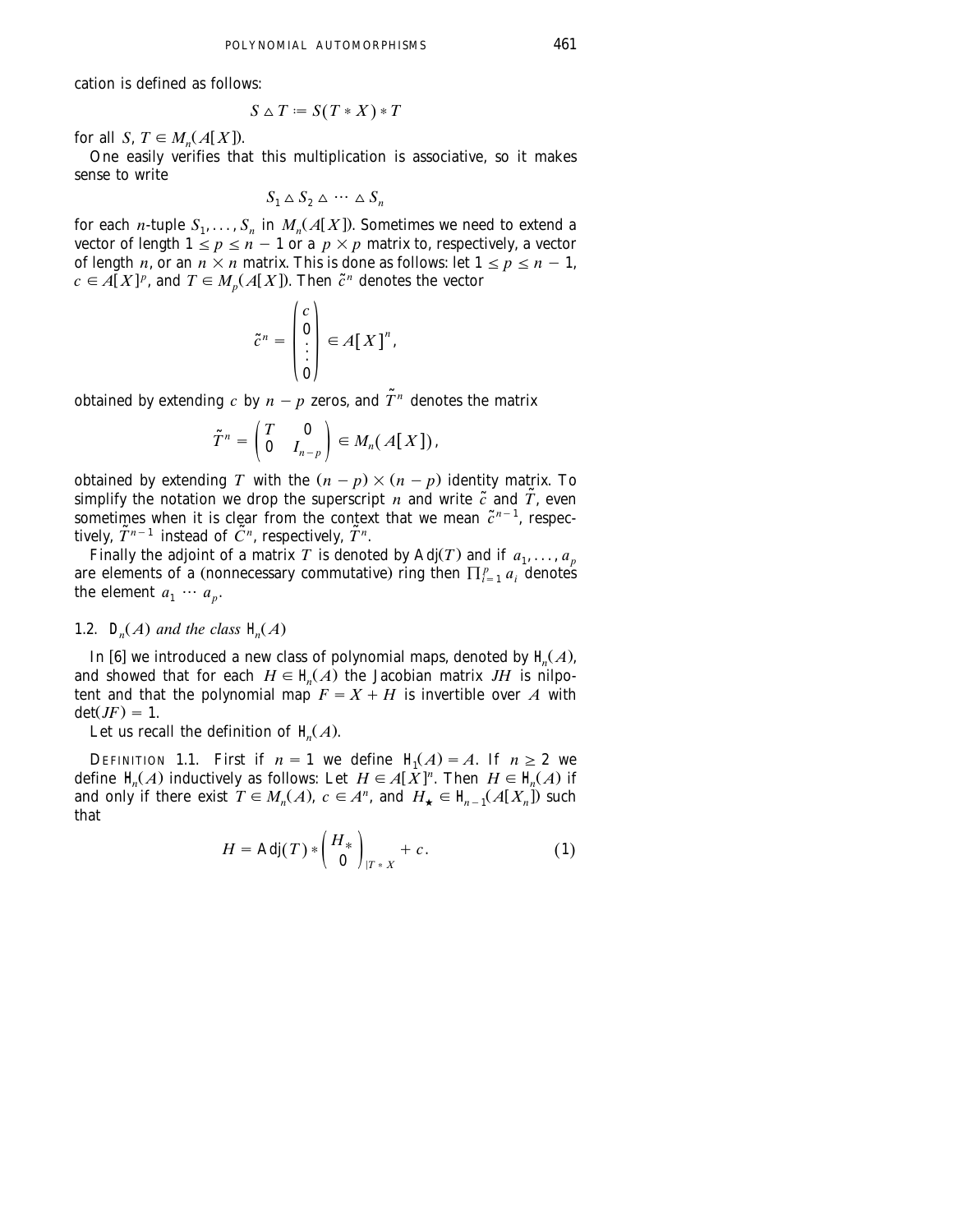cation is defined as follows:

$$
S \triangle T := S(T * X) * T
$$

for all *S*,  $T \in M_n(A[X])$ .

One easily verifies that this multiplication is associative, so it makes sense to write

$$
S_1 \triangle S_2 \triangle \cdots \triangle S_n
$$

for each *n*-tuple  $S_1, \ldots, S_n$  in  $M_n(A[X])$ . Sometimes we need to extend a vector of length  $1 \le p \le n - 1$  or a  $p \times p$  matrix to, respectively, a vector of length *n*, or an  $n \times n$  matrix. This is done as follows: let  $1 \le p \le n - 1$ ,  $c \in A[X]^p$ , and  $T \in M_p(A[X])$ . Then  $\tilde{c}^n$  denotes the vector

$$
\tilde{c}^n = \begin{pmatrix} c \\ 0 \\ \vdots \\ 0 \end{pmatrix} \in A[X]^n,
$$

obtained by extending *c* by  $n - p$  zeros, and  $\tilde{T}^n$  denotes the matrix

$$
\widetilde{T}^n = \begin{pmatrix} T & \mathbf{0} \\ \mathbf{0} & I_{n-p} \end{pmatrix} \in M_n(A[X]),
$$

obtained by extending *T* with the  $(n - p) \times (n - p)$  identity matrix. To simplify the notation we drop the superscript *n* and write  $\tilde{c}$  and  $\tilde{T}$ , even sometimes when it is clear from the context that we mean  $\tilde{c}^{n-1}$ , respectively,  $\tilde{T}^{n-1}$  instead of  $\tilde{C}^n$ , respectively,  $\tilde{T}^n$ .

Finally the adjoint of a matrix *T* is denoted by Adj(*T*) and if  $a_1, \ldots, a_p$ are elements of a (nonnecessary commutative) ring then  $\prod_{i=1}^p a_i$  denotes the element  $a_1 \cdots a_p$ .

## 1.2.  $D_n(A)$  and the class  $H_n(A)$

In [6] we introduced a new class of polynomial maps, denoted by  $H(A)$ , and showed that for each  $H \in \mathcal{H}(A)$  the Jacobian matrix *JH* is nilpotent and that the polynomial map  $F = X + H$  is invertible over *A* with  $\det(JF) = 1.$ 

Let us recall the definition of  $H(A)$ .

DEFINITION 1.1. First if  $n = 1$  we define  $H(A) = A$ . If  $n \ge 2$  we define  $H(A)$  inductively as follows: Let  $H \in A[X]^n$ . Then  $H \in H(A)$  if and only if there exist  $T \in M_n(A)$ ,  $c \in A^n$ , and  $H_{\star} \in H_{n-1}(A[X_n])$  such that

$$
H = \text{Adj}(T) * \begin{pmatrix} H_* \\ 0 \end{pmatrix}_{|T^*X} + c. \tag{1}
$$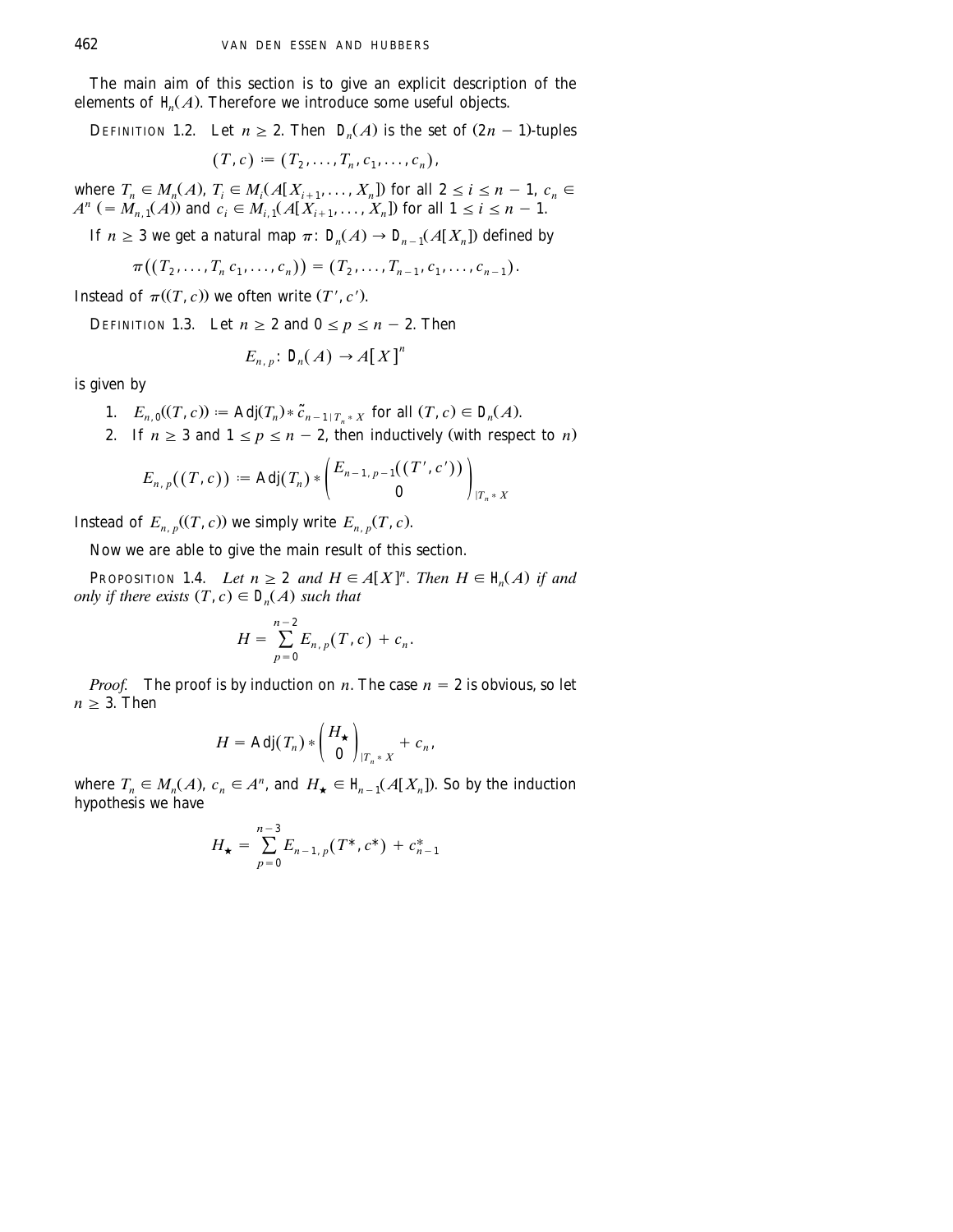The main aim of this section is to give an explicit description of the elements of  $H(A)$ . Therefore we introduce some useful objects.

DEFINITION 1.2. Let  $n \geq 2$ . Then  $\mathcal{Q}(A)$  is the set of  $(2n - 1)$ -tuples  $(T, c) := (T_2, \ldots, T_n, c_1, \ldots, c_n),$ 

where  $T_n \in M_n(A)$ ,  $T_i \in M_i(A[X_{i+1},...,X_n])$  for all  $2 \le i \le n-1$ ,  $c_n \in A^n$  (=  $M_{n,1}(A)$ ) and  $c_i \in M_{i,1}(A[X_{i+1},...,X_n])$  for all  $1 \le i \le n-1$ .

If *n*  $\geq$  3 we get a natural map  $\pi$ :  $\mathcal{D}_{n}$   $\rightarrow$   $\mathcal{D}_{n-1}$   $\mathcal{A}[X]$  defined by

$$
\pi((T_2,\ldots,T_n\,c_1,\ldots,c_n))=(T_2,\ldots,T_{n-1},c_1,\ldots,c_{n-1}).
$$

Instead of  $\pi$ ( $(T, c)$ ) we often write  $(T', c')$ .

DEFINITION 1.3. Let 
$$
n \ge 2
$$
 and  $0 \le p \le n - 2$ . Then

$$
E_{n,p} \colon \mathcal{L}_n(A) \to A[X]^n
$$

is given by

- 1.  $E_{n,0}((T, c)) := \text{Adj}(T_n) * \tilde{c}_{n-1|T_n * X} \text{ for all } (T, c) \in D_n(A).$
- 2. If  $n \geq 3$  and  $1 \leq p \leq n-2$ , then inductively (with respect to *n*)

$$
E_{n, p}((T, c)) \coloneqq \mathrm{Adj}(T_n) * \begin{pmatrix} E_{n-1, p-1}((T', c')) \\ 0 \end{pmatrix}_{|T_n * X}
$$

Instead of  $E_{n,p}((T, c))$  we simply write  $E_{n,p}(T, c)$ .

Now we are able to give the main result of this section.

**PROPOSITION 1.4.** *Let*  $n \geq 2$  *and*  $H \in A[X]^n$ *. Then*  $H \in \mathcal{H}(A)$  *if and only if there exists*  $(T, c) \in D_n(A)$  *such that* 

$$
H = \sum_{p=0}^{n-2} E_{n,p}(T,c) + c_n.
$$

*Proof.* The proof is by induction on *n*. The case  $n = 2$  is obvious, so let  $n \geq 3$ . Then

$$
H = \mathrm{Adj}(T_n) * \begin{pmatrix} H_{\star} \\ 0 \end{pmatrix}_{|T_n * X} + c_n,
$$

where  $T_n \in M_n(A)$ ,  $c_n \in A^n$ , and  $H_{\star} \in \mathcal{H}_{n-1}(A[X_n])$ . So by the induction hypothesis we have

$$
H_{\star} = \sum_{p=0}^{n-3} E_{n-1,p}(T^*, c^*) + c_{n-1}^*
$$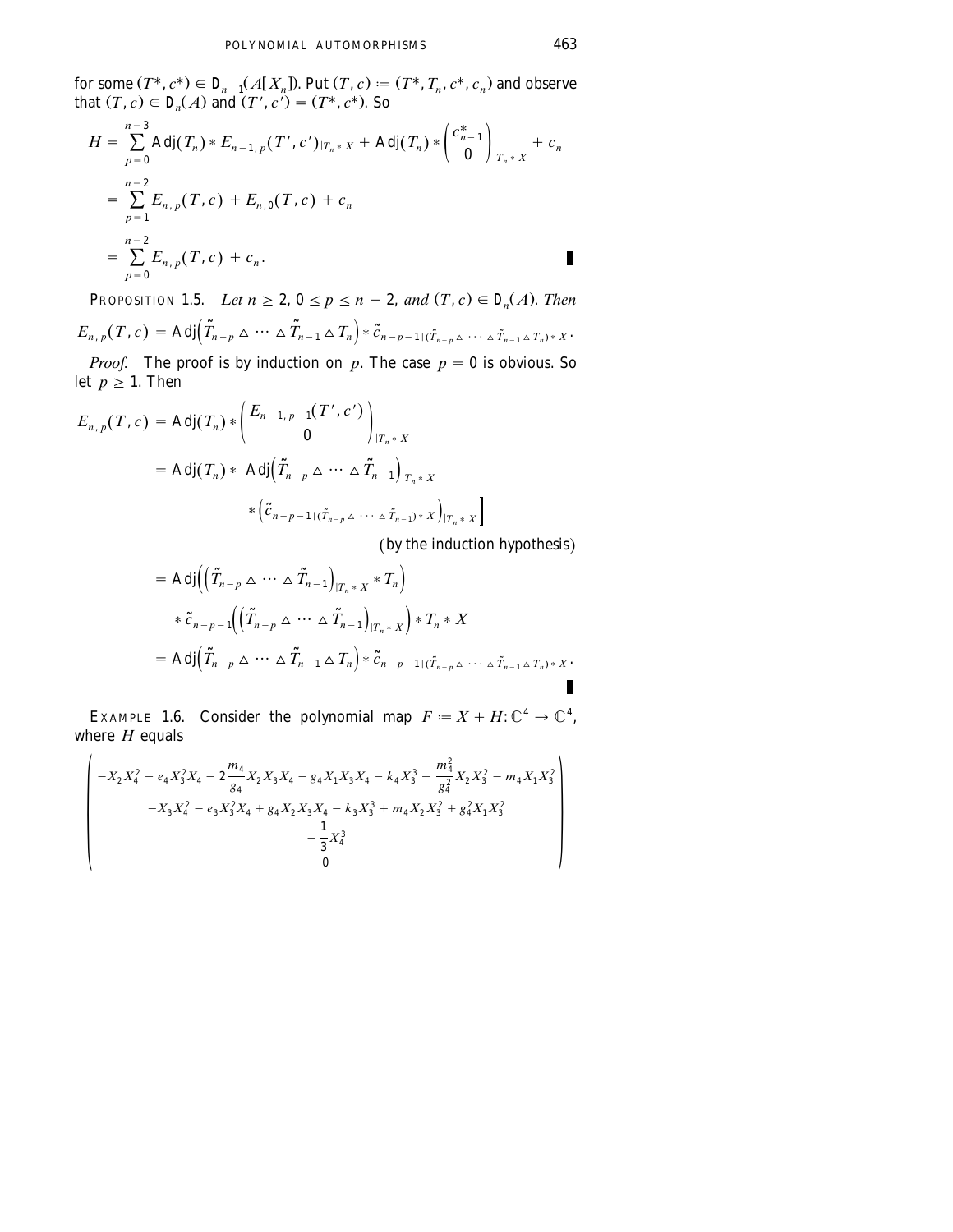for some  $(T^*, c^*) \in D_{n-1}(A[X_n])$ . Put  $(T, c) := (T^*, T_n, c^*, c_n)$  and observe that  $(T, c) \in \mathcal{L}(A)$  and  $(T', c') = (T^*, c^*)$ . So

$$
H = \sum_{p=0}^{n-3} \text{Adj}(T_n) * E_{n-1,p}(T',c')_{|T_n * X} + \text{Adj}(T_n) * \begin{pmatrix} c_{n-1}^* \\ 0 \end{pmatrix}_{|T_n * X} + c_n
$$
  
= 
$$
\sum_{p=1}^{n-2} E_{n,p}(T,c) + E_{n,0}(T,c) + c_n
$$
  
= 
$$
\sum_{p=0}^{n-2} E_{n,p}(T,c) + c_n.
$$

PROPOSITION 1.5. Let  $n \ge 2$ ,  $0 \le p \le n-2$ , and  $(T, c) \in D_n(A)$ . Then  $E_{n,p}(T,c) = \text{Adj}(\tilde{T}_{n-p} \triangle \cdots \triangle \tilde{T}_{n-1} \triangle T_n) * \tilde{c}_{n-p-1}(\tilde{T}_{n-p} \triangle \cdots \triangle \tilde{T}_{n-1} \triangle T_n) * x$ .

*Proof.* The proof is by induction on p. The case  $p = 0$  is obvious. So let  $p \geq 1$ . Then

$$
E_{n,p}(T,c) = \text{Adj}(T_n) * \begin{pmatrix} E_{n-1,p-1}(T',c') \\ 0 \end{pmatrix}_{|T_n * X}
$$
  
= 
$$
\text{Adj}(T_n) * \begin{bmatrix} \text{Adj}(\tilde{T}_{n-p} \triangle \cdots \triangle \tilde{T}_{n-1})_{|T_n * X} \\ * (\tilde{c}_{n-p-1|(\tilde{T}_{n-p} \triangle \cdots \triangle \tilde{T}_{n-1}) * X})_{|T_n * X} \end{bmatrix}
$$

(by the induction hypothesis)

$$
= \text{Adj}\Big(\Big(\widetilde{T}_{n-p}\,\Delta\cdots\,\Delta\,\widetilde{T}_{n-1}\Big)_{|T_n*\,X} * T_n\Big) \n* \widetilde{c}_{n-p-1}\Big(\Big(\widetilde{T}_{n-p}\,\Delta\cdots\,\Delta\,\widetilde{T}_{n-1}\Big)_{|T_n*\,X}\Big) * T_n * X \n= \text{Adj}\Big(\widetilde{T}_{n-p}\,\Delta\cdots\,\Delta\,\widetilde{T}_{n-1}\,\Delta\,T_n\Big) * \widetilde{c}_{n-p-1+(\widetilde{T}_{n-p}\,\Delta\cdots\,\Delta\,\widetilde{T}_{n-1}\,\Delta\,T_n)*X}.
$$

Consider the polynomial map  $F := X + H: \mathbb{C}^4 \to \mathbb{C}^4$ , EXAMPLE 1.6. where  $H$  equals

$$
\begin{pmatrix}\n-X_2X_4^2 - e_4X_3^2X_4 - 2\frac{m_4}{g_4}X_2X_3X_4 - g_4X_1X_3X_4 - k_4X_3^3 - \frac{m_4^2}{g_4^2}X_2X_3^2 - m_4X_1X_3^2 \\
-X_3X_4^2 - e_3X_3^2X_4 + g_4X_2X_3X_4 - k_3X_3^3 + m_4X_2X_3^2 + g_4^2X_1X_3^2 \\
- \frac{1}{3}X_4^3 \\
0\n\end{pmatrix}
$$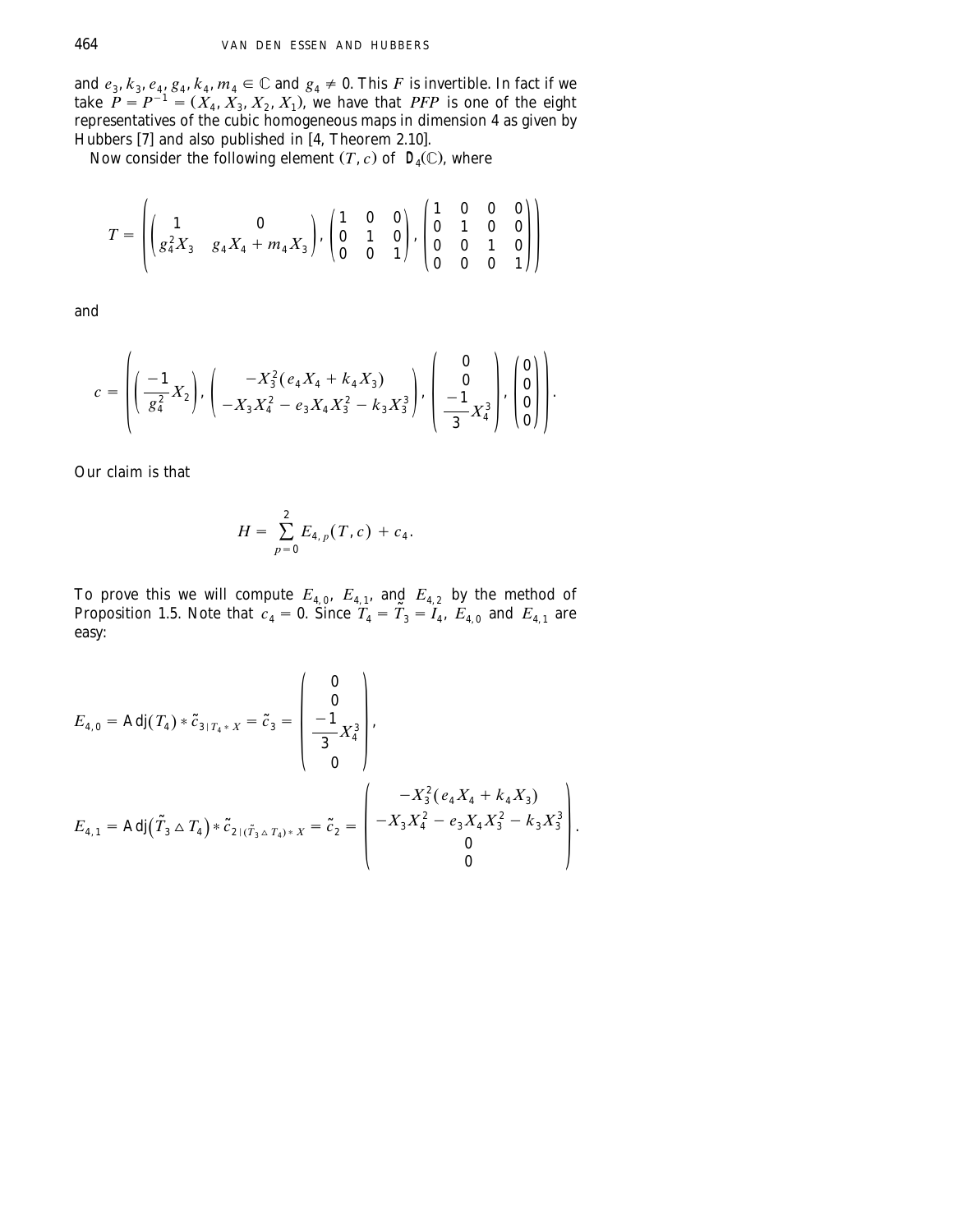and  $e_3$ ,  $k_3$ ,  $e_4$ ,  $g_4$ ,  $k_4$ ,  $m_4 \in \mathbb{C}$  and  $g_4 \neq 0$ . This F is invertible. In fact if we take  $P = P^{-1} = (X_4, X_3, X_2, X_1)$ , we have that *PFP* is one of the eight representatives of the cubic homogeneous maps in dimension 4 as given by Hubbers [7] and also published in  $[4,$  Theorem 2.10].

Now consider the following element  $(T, c)$  of  $\mathcal{Q}(\mathbb{C})$ , where

$$
T = \left( \begin{pmatrix} 1 & 0 \\ g_4^2 X_3 & g_4 X_4 + m_4 X_3 \end{pmatrix}, \begin{pmatrix} 1 & 0 & 0 \\ 0 & 1 & 0 \\ 0 & 0 & 1 \end{pmatrix}, \begin{pmatrix} 1 & 0 & 0 & 0 \\ 0 & 1 & 0 & 0 \\ 0 & 0 & 1 & 0 \\ 0 & 0 & 0 & 1 \end{pmatrix} \right)
$$

and

$$
c = \left( \left( \frac{-1}{g_4^2} X_2 \right), \left( \frac{-X_3^2 (e_4 X_4 + k_4 X_3)}{-X_3 X_4^2 - e_3 X_4 X_3^2 - k_3 X_3^3} \right), \left( \frac{0}{-\frac{1}{3} X_4^3} \right), \left( \frac{0}{0} \right) \right).
$$

Our claim is that

$$
H = \sum_{p=0}^{2} E_{4, p}(T, c) + c_4.
$$

To prove this we will compute  $E_{4,0}$ ,  $E_{4,1}$ , and  $E_{4,2}$  by the method of Proposition 1.5. Note that  $c_4 = 0$ . Since  $T_4 = \tilde{T}_3 = I_4$ ,  $E_{4,0}$  and  $E_{4,1}$  are easy:

$$
E_{4,0} = \text{Adj}(T_4) * \tilde{c}_{3|T_4 * X} = \tilde{c}_3 = \begin{pmatrix} 0 \\ 0 \\ -1 \\ \frac{-1}{3} X_4^3 \\ 0 \end{pmatrix},
$$
  
\n
$$
E_{4,1} = \text{Adj}(\tilde{T}_3 \triangle T_4) * \tilde{c}_{2|(\tilde{T}_3 \triangle T_4) * X} = \tilde{c}_2 = \begin{pmatrix} -X_3^2 (e_4 X_4 + k_4 X_3) \\ -X_3 X_4^2 - e_3 X_4 X_3^2 - k_3 X_3^3 \\ 0 \\ 0 \end{pmatrix}.
$$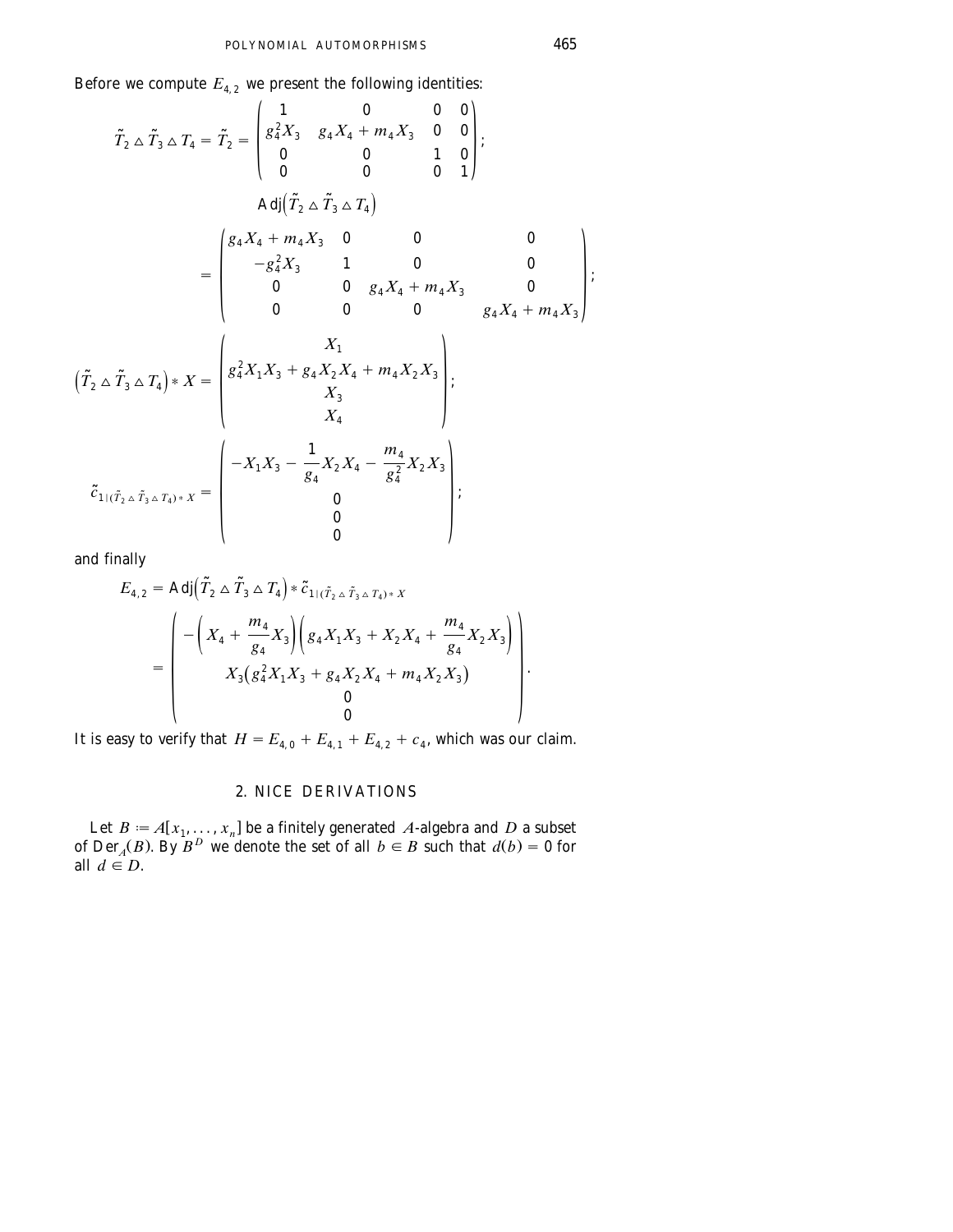Before we compute  $E_4$ , we present the following identities:

$$
\tilde{T}_2 \triangle \tilde{T}_3 \triangle T_4 = \tilde{T}_2 = \begin{pmatrix}\n1 & 0 & 0 & 0 \\
g_4^2 X_3 & g_4 X_4 + m_4 X_3 & 0 & 0 \\
0 & 0 & 1 & 0 \\
0 & 0 & 0 & 0\n\end{pmatrix};
$$
\n
$$
Adj(\tilde{T}_2 \triangle \tilde{T}_3 \triangle T_4)
$$
\n
$$
= \begin{pmatrix}\ng_4 X_4 + m_4 X_3 & 0 & 0 & 0 \\
g_4 X_4 + m_4 X_3 & 0 & 0 & 0 \\
0 & 0 & g_4 X_4 + m_4 X_3 & 0 \\
0 & 0 & 0 & g_4 X_4 + m_4 X_3\n\end{pmatrix};
$$
\n
$$
(\tilde{T}_2 \triangle \tilde{T}_3 \triangle T_4) * X = \begin{pmatrix}\nX_1 \\
g_4^2 X_1 X_3 + g_4 X_2 X_4 + m_4 X_2 X_3 \\
X_3 \\
X_4 \\
X_4\n\end{pmatrix};
$$
\n
$$
\tilde{C}_{1|(\tilde{T}_2 \triangle \tilde{T}_3 \triangle T_4) * X} = \begin{pmatrix}\nX_1 \\
-X_1 X_3 - \frac{1}{g_4} X_2 X_4 - \frac{m_4}{g_4^2} X_2 X_3 \\
0 \\
0 \\
0 \\
0\n\end{pmatrix};
$$

and finally

$$
E_{4,2} = \text{Adj}\left(\tilde{T}_2 \bigtriangleup \tilde{T}_3 \bigtriangleup T_4\right) * \tilde{c}_{1|(\tilde{T}_2 \bigtriangleup \tilde{T}_3 \bigtriangleup T_4) * X} = \begin{pmatrix} -\left(X_4 + \frac{m_4}{g_4}X_3\right) \left(g_4X_1X_3 + X_2X_4 + \frac{m_4}{g_4}X_2X_3\right) \\ X_3(g_4^2X_1X_3 + g_4X_2X_4 + m_4X_2X_3) \\ 0 \\ 0 \end{pmatrix}.
$$

It is easy to verify that  $H = E_{4,0} + E_{4,1} + E_{4,2} + c_4$ , which was our claim.

### 2. NICE DERIVATIONS

Let  $B := A[x_1, \ldots, x_n]$  be a finitely generated A-algebra and D a subset of Der<sub>*A</sub>*(*B*). By  $B^D$  we denote the set of all  $b \in B$  such that  $d(b) = 0$  for</sub> all  $d \in D$ .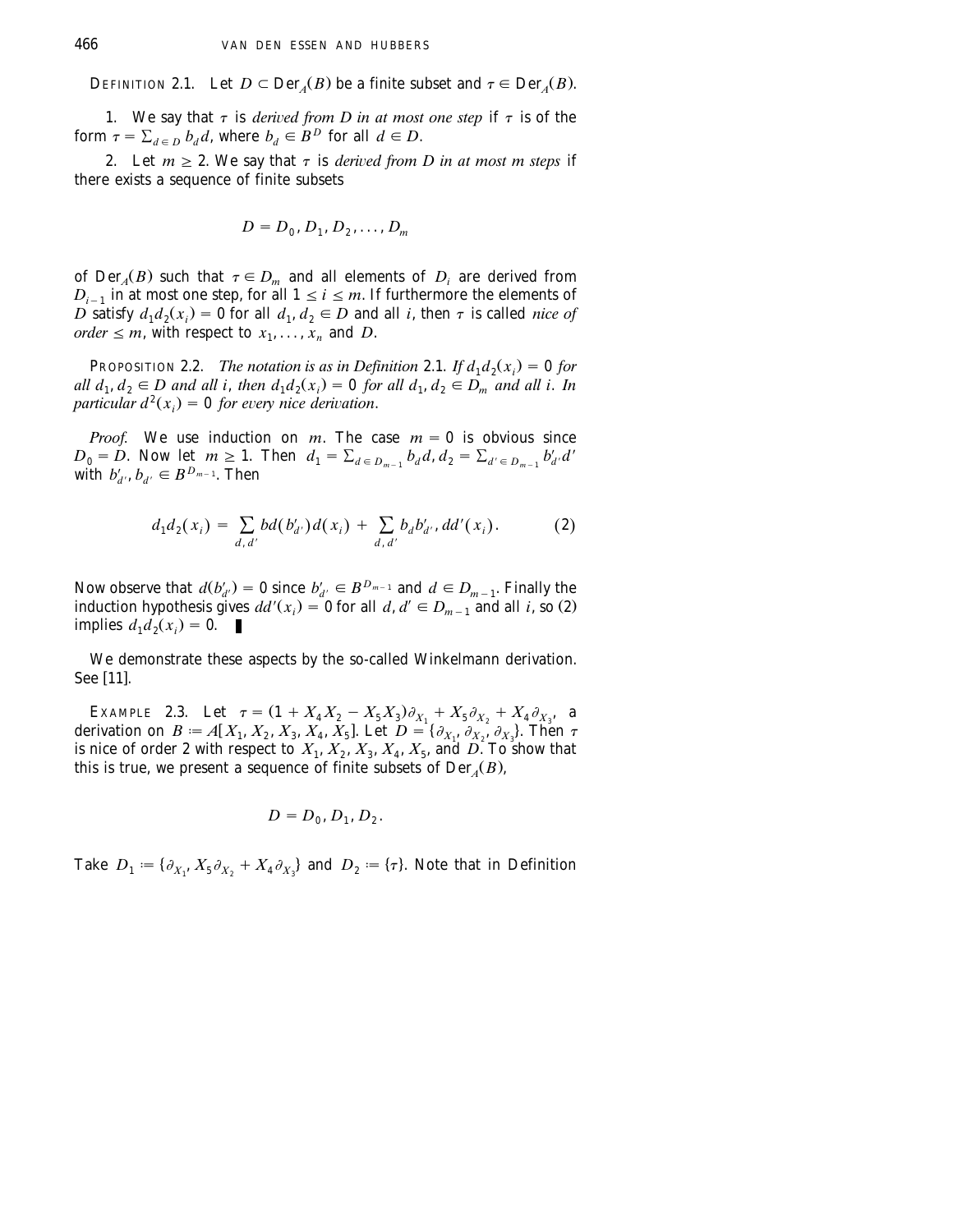DEFINITION 2.1. Let  $D \subset \text{Der}_{A}(B)$  be a finite subset and  $\tau \in \text{Der}_{A}(B)$ .

1. We say that  $\tau$  is *derived from D in at most one step* if  $\tau$  is of the form  $\tau = \sum_{d \in D} b_d d$ , where  $b_d \in B^D$  for all  $d \in D$ .

2. Let  $m \geq 2$ . We say that  $\tau$  is *derived from D in at most m steps* if there exists a sequence of finite subsets

$$
D = D_0, D_1, D_2, \dots, D_m
$$

of  $Der_A(B)$  such that  $\tau \in D_m$  and all elements of  $D_i$  are derived from  $D_{i-1}$  in at most one step, for all  $1 \le i \le m$ . If furthermore the elements of *D* satisfy  $d_1 d_2(x_i) = 0$  for all  $d_1, d_2 \in D$  and all *i*, then  $\tau$  is called *nice of order*  $\leq$  *m*, with respect to  $x_1, \ldots, x_n$  and *D*.

**PROPOSITION 2.2.** *The notation is as in Definition* 2.1. If  $d_1 d_2(x_i) = 0$  for *all*  $d_1, d_2 \in D$  and all i, then  $d_1d_2(x_i) = 0$  for all  $d_1, d_2 \in D_m$  and all i. In *particular*  $d^2(x_i) = 0$  *for every nice derivation.* 

*Proof.* We use induction on *m*. The case  $m = 0$  is obvious since  $D_0 = D$ . Now let  $m \ge 1$ . Then  $d_1 = \sum_{d \in D_{m-1}} b_d d$ ,  $d_2 = \sum_{d' \in D_{m-1}} b'_{d'} d'$ with  $b'_{d}$ ,  $b_{d'} \in B^{D_{m-1}}$ . Then

$$
d_1d_2(x_i) = \sum_{d, d'} bd(b'_{d'})d(x_i) + \sum_{d, d'} b_d b'_{d'}, dd'(x_i). \hspace{1cm} (2)
$$

Now observe that  $d(b'_{d'}) = 0$  since  $b'_{d'} \in B^{D_{m-1}}$  and  $d \in D_{m-1}$ . Finally the induction hypothesis gives  $dd'(x_i) = 0$  for all  $d, d' \in D_{m-1}$  and all *i*, so (2). implies  $d_1 d_2(x_i) = 0$ .

We demonstrate these aspects by the so-called Winkelmann derivation. See [11].

EXAMPLE 2.3. Let  $\tau = (1 + X_4 X_2 - X_5 X_3) \partial_{X_1} + X_5 \partial_{X_2} + X_4 \partial_{X_3}$ , a derivation on  $B := A[X_1, X_2, X_3, X_4, X_5]$ . Let  $D = \{\partial_{X_1}, \partial_{X_2}, \partial_{X_3}\}$ . Then  $\tau$ is nice of order 2 with respect to  $X_1, X_2, X_3, X_4, X_5$ , and  $D$ . To show that this is true, we present a sequence of finite subsets of  $Der_{\mathcal{A}}(B)$ ,

$$
D=D_0, D_1, D_2.
$$

Take  $D_1 := \{ \partial_{X_1}, X_5 \partial_{X_2} + X_4 \partial_{X_3} \}$  and  $D_2 := \{ \tau \}$ . Note that in Definition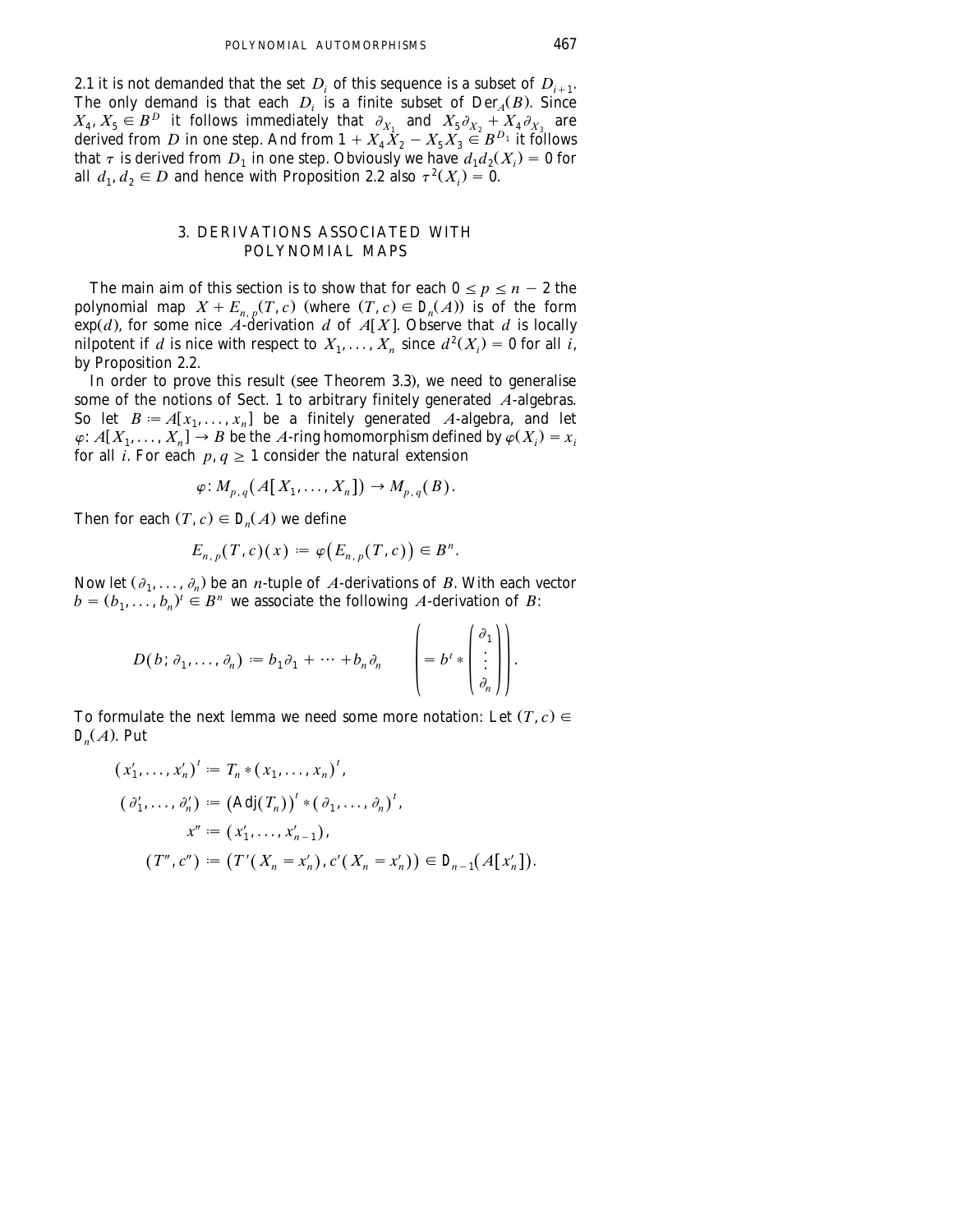2.1 it is not demanded that the set  $D_i$  of this sequence is a subset of  $D_{i+1}$ . The only demand is that each  $D_i$  is a finite subset of  $Der_A(B)$ . Since  $X_4, X_5 \in B^D$  it follows immediately that  $\partial_{X_1}$  and  $X_5 \partial_{X_2} + X_4 \partial_{X_3}$  are derived from *D* in one step. And from  $1 + X_4^2 X_2 - X_5 X_3^2 \in B^{D_1}$  it follows that  $\tau$  is derived from  $D_1$  in one step. Obviously we have  $d_1 d_2(X_i) = 0$  for all  $d_1, d_2 \in D$  and hence with Proposition 2.2 also  $\tau^2(X_i) = 0$ .

### 3. DERIVATIONS ASSOCIATED WITH POLYNOMIAL MAPS

The main aim of this section is to show that for each  $0 \le p \le n - 2$  the polynomial map  $X + E_{n,p}(T, c)$  (where  $(T, c) \in D_n(A)$ ) is of the form  $\exp(d)$ , for some nice *A*-derivation *d* of *A*[X]. Observe that *d* is locally nilpotent if *d* is nice with respect to  $X_1, \ldots, X_n$  since  $d^2(X_i) = 0$  for all *i*, by Proposition 2.2.

In order to prove this result (see Theorem 3.3), we need to generalise some of the notions of Sect. 1 to arbitrary finitely generated *A*-algebras. So let  $B = A[x_1, \ldots, x_n]$  be a finitely generated *A*-algebra, and let  $\varphi$ : *A*[ $X_1, \ldots, X_n$ ]  $\rightarrow$  *B* be the *A*-ring homomorphism defined by  $\varphi(X_i) = x_i$ for all *i*. For each  $p, q \ge 1$  consider the natural extension

$$
\varphi\colon M_{p,q}\big(\,A\big[\,X_1,\ldots,X_n\big]\big)\to M_{p,q}\big(B\big).
$$

Then for each  $(T, c) \in D_n(A)$  we define

$$
E_{n,p}(T,c)(x) := \varphi\bigl(E_{n,p}(T,c)\bigr) \in B^n.
$$

Now let  $(\partial_1, \ldots, \partial_n)$  be an *n*-tuple of *A*-derivations of *B*. With each vector  $b = (b_1, \ldots, b_n)^t \in B^n$  we associate the following *A*-derivation of *B*:

$$
D(b; \partial_1, \ldots, \partial_n) := b_1 \partial_1 + \cdots + b_n \partial_n \qquad \left( = b^t * \begin{pmatrix} \partial_1 \\ \vdots \\ \partial_n \end{pmatrix} \right).
$$

To formulate the next lemma we need some more notation: Let  $(T, c) \in$  $D_n(A)$ . Put

$$
(x'_1, ..., x'_n)' := T_n * (x_1, ..., x_n)',
$$
  
\n
$$
(\partial'_1, ..., \partial'_n) := (\text{Adj}(T_n))' * (\partial_1, ..., \partial_n)',
$$
  
\n
$$
x'' := (x'_1, ..., x'_{n-1}),
$$
  
\n
$$
(T'', c'') := (T'(X_n = x'_n), c'(X_n = x'_n)) \in \mathcal{Q}_{n-1}(A[x'_n]).
$$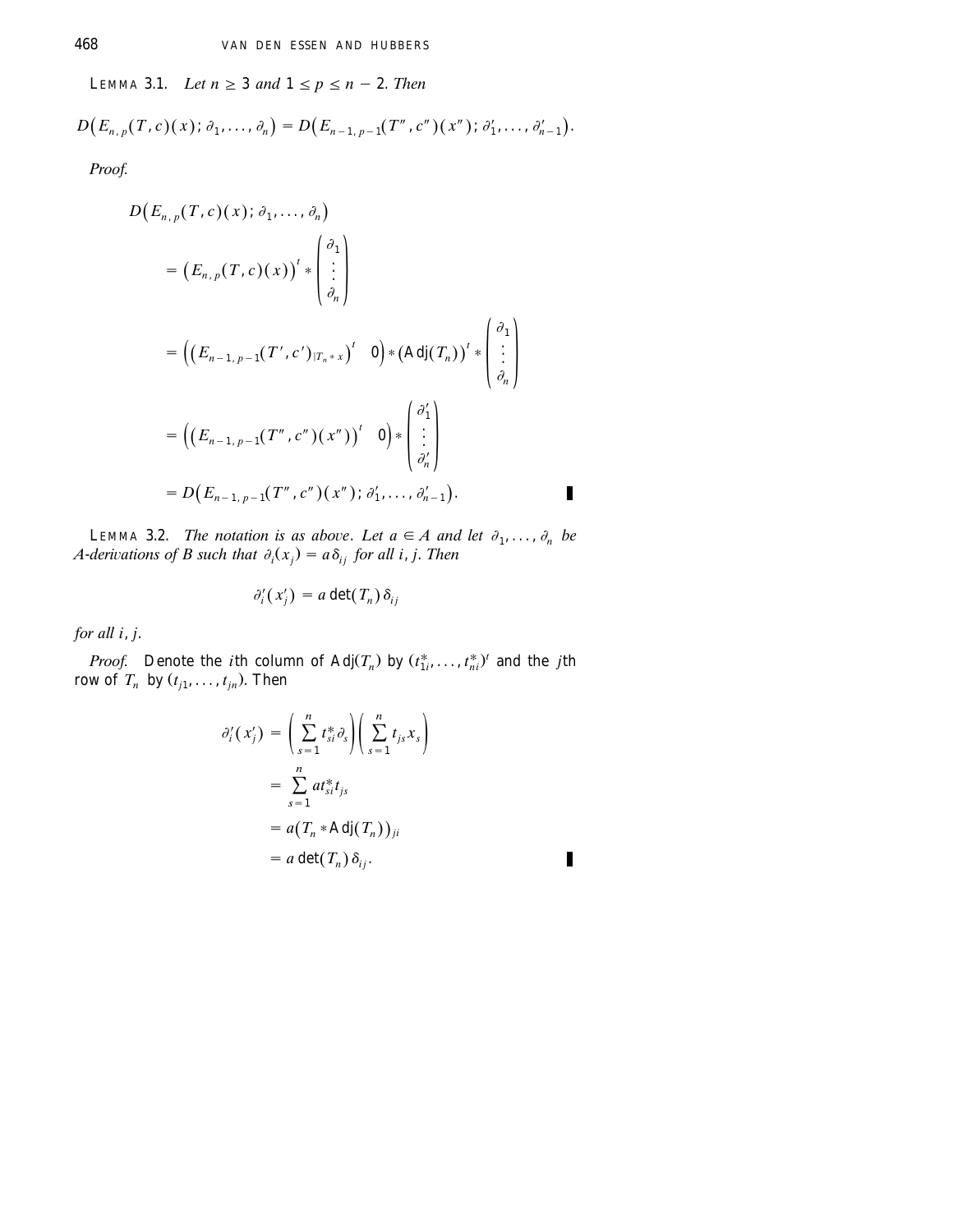LEMMA 3.1. Let  $n \geq 3$  and  $1 \leq p \leq n-2$ . Then

 $D(E_{n,p}(T, c)(x); \partial_1, \ldots, \partial_n) = D(E_{n-1, p-1}(T'', c'')(x''); \partial'_1, \ldots, \partial'_{n-1}).$ 

Proof.

$$
D(E_{n,p}(T, c)(x); \partial_1, ..., \partial_n)
$$
  
=  $(E_{n,p}(T, c)(x))^t * \begin{pmatrix} \partial_1 \\ \vdots \\ \partial_n \end{pmatrix}$   
=  $((E_{n-1,p-1}(T', c')_{|T_n * x})^t \mathbf{0}) * (Adj(T_n))^t * \begin{pmatrix} \partial_1 \\ \vdots \\ \partial_n \end{pmatrix}$   
=  $((E_{n-1,p-1}(T'', c'')(x''))^t \mathbf{0}) * \begin{pmatrix} \partial'_1 \\ \vdots \\ \partial'_n \end{pmatrix}$   
=  $D(E_{n-1,p-1}(T'', c'')(x''); \partial'_1, ..., \partial'_{n-1}).$ 

LEMMA 3.2. The notation is as above. Let  $a \in A$  and let  $\partial_1, \ldots, \partial_n$  be A-derivations of B such that  $\partial_i(x_i) = a \delta_{ij}$  for all i, j. Then

$$
\partial_i'(x'_j) = a \det(T_n) \, \delta_{ij}
$$

for all i, j.

*Proof.* Denote the *i*th column of Adj $(T_n)$  by  $(t^*_{1i},...,t^*_{ni})^t$  and the *j*th row of  $T_n$  by  $(t_{j1}, \ldots, t_{jn})$ . Then

$$
\partial'_{i}(x'_{j}) = \left(\sum_{s=1}^{n} t_{si}^{*} \partial_{s}\right) \left(\sum_{s=1}^{n} t_{js} x_{s}\right)
$$

$$
= \sum_{s=1}^{n} a t_{si}^{*} t_{js}
$$

$$
= a(T_{n} * \text{Adj}(T_{n}))_{ji}
$$

$$
= a \det(T_{n}) \delta_{ij}.
$$

П

П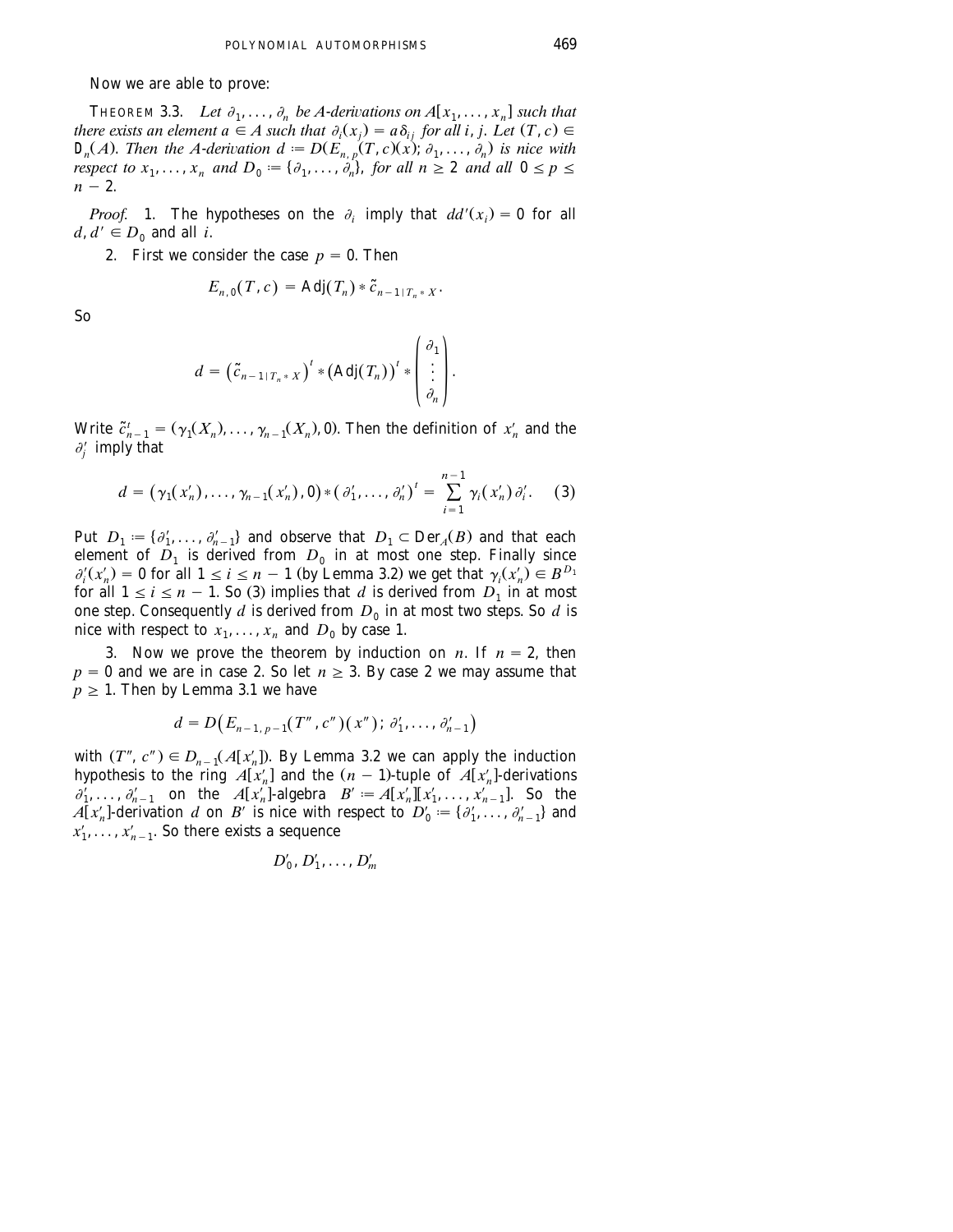#### Now we are able to prove:

THEOREM 3.3. Let  $\partial_1, \ldots, \partial_n$  be A-derivations on  $A[x_1, \ldots, x_n]$  such that *there exists an element a*  $\in$  *A such that*  $\partial_i(x_i) = a \delta_{ij}$  for all *i*, *j.* Let  $(T, c) \in$  $D_n(A)$ . Then the A-derivation  $d := D(E_{n,p}(T, c)(x); \partial_1, \ldots, \partial_n)$  is nice with *respect to*  $x_1, \ldots, x_n$  *and*  $D_0 := \{ \partial_1, \ldots, \partial_n \}$ , *for all*  $n \geq 2$  *and all*  $0 \leq p \leq$  $n - 2$ .

*Proof.* 1. The hypotheses on the  $\partial$ , imply that  $dd'(x) = 0$  for all  $d, d' \in D_0$  and all *i*.

2. First we consider the case  $p = 0$ . Then

$$
E_{n,0}(T,c) = \mathrm{Adj}(T_n) * \tilde{c}_{n-1+T_n+X}.
$$

So

$$
d = \left(\tilde{c}_{n-1+T_n+X}\right)^t * \left(\mathrm{Adj}(T_n)\right)^t * \begin{pmatrix} \partial_1 \\ \vdots \\ \partial_n \end{pmatrix}.
$$

*the*  $\tilde{c}_{n-1}^t = (\gamma_1(X_n), \dots, \gamma_{n-1}(X_n), 0)$ *. Then the definition of*  $x'_n$  *and the*  $\partial_i'$  imply that

$$
d = (\gamma_1(x'_n), \dots, \gamma_{n-1}(x'_n), 0) * (\partial'_1, \dots, \partial'_n)^t = \sum_{i=1}^{n-1} \gamma_i(x'_n) \partial'_i.
$$
 (3)

Put  $D_1 := \{ \partial'_1, \ldots, \partial'_{n-1} \}$  and observe that  $D_1 \subset \text{Der}_A(B)$  and that each element of  $D_1$  is derived from  $D_0$  in at most one step. Finally since  $\partial_i^j(x'_n) = 0$  for all  $1 \le i \le n - 1$  (by Lemma 3.2) we get that  $\gamma_i(x'_n) \in B^{D_1}$ for all  $1 \le i \le n - 1$ . So (3) implies that d is derived from  $D_1$  in at most one step. Consequently  $d$  is derived from  $D_0$  in at most two steps. So  $d$  is nice with respect to  $x_1, \ldots, x_n$  and  $D_0$  by case 1.

3. Now we prove the theorem by induction on *n*. If  $n = 2$ , then  $p = 0$  and we are in case 2. So let  $n \ge 3$ . By case 2 we may assume that  $p \geq 1$ . Then by Lemma 3.1 we have

$$
d = D(E_{n-1, p-1}(T'', c'')(x''); \partial'_1, \ldots, \partial'_{n-1})
$$

with  $(T'', c'') \in D_{n-1}(A[x_n'])$ . By Lemma 3.2 we can apply the induction hypothesis to the ring  $A[x'_n]$  and the  $(n-1)$ -tuple of  $A[x'_n]$ -derivations  $a'$  on the  $A[x']$ -dependence  $B' = A[x']$  is  $x' = 1$ . So, the  $\partial'_1, \ldots, \partial'_{n-1}$  on the  $A[x'_n]$ -algebra  $B' := A[x'_n][x'_1, \ldots, x'_{n-1}]$ . So the  $A[x'_n]$ -derivation *d* on *B'* is nice with respect to  $D'_0 := \{ \partial'_1, \ldots, \partial'_{n-1} \}$  and  $x'_1, \ldots, x'_{n-1}$ . So there exists a sequence

$$
D'_0, D'_1, \ldots, D'_m
$$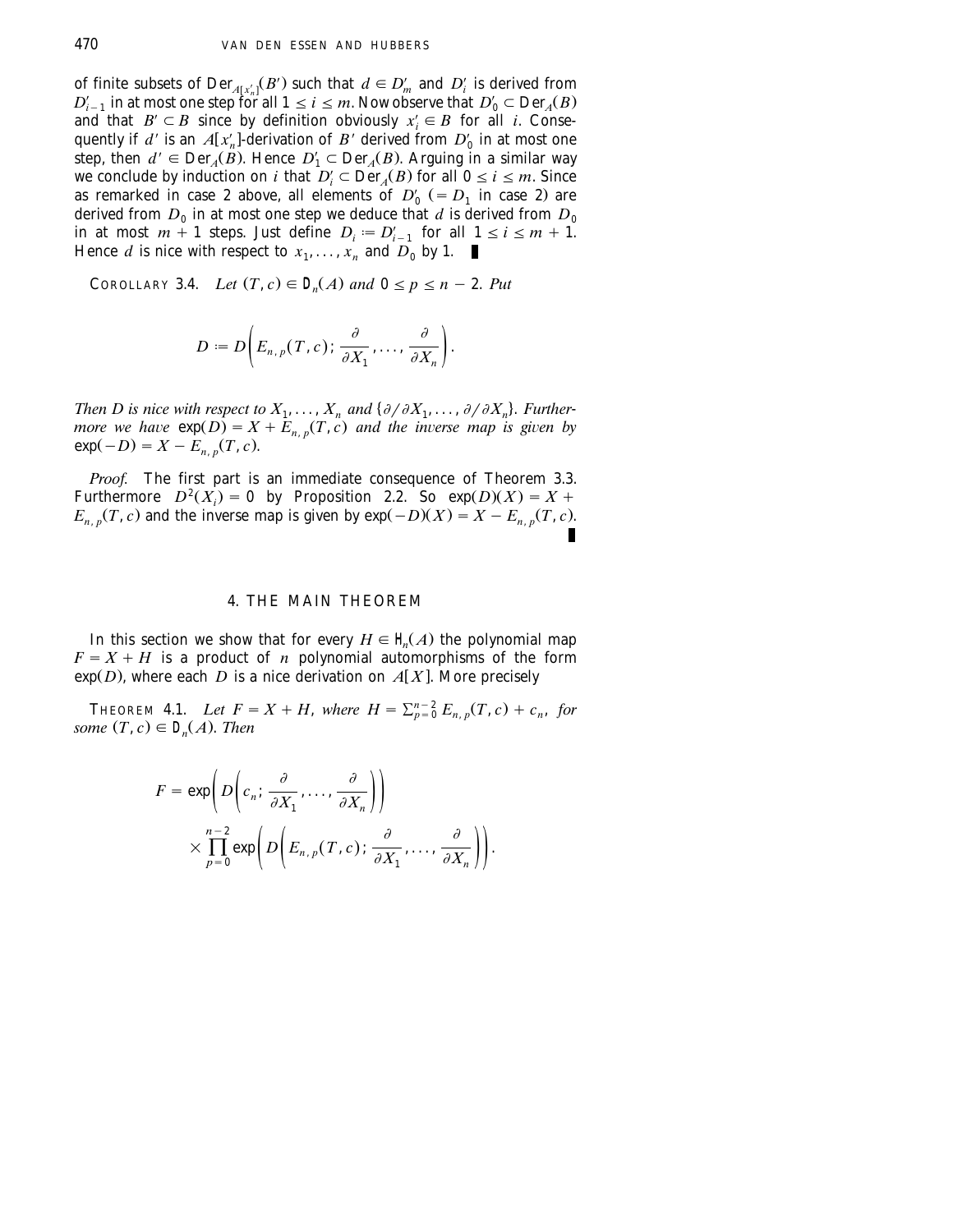of finite subsets of  $\text{Der}_{A[x'_n]}(B')$  such that  $d \in D'_m$  and  $D'_i$  is derived from  $D'_{i-1}$  in at most one step for all  $1 \le i \le m$ . Now observe that  $D'_0 \subset \text{Der}_A(B)$ and that  $B' \subset B$  since by definition obviously  $x'_i \in B$  for all *i*. Consequently if *d'* is an  $A[x'_n]$ -derivation of *B'* derived from  $D'_0$  in at most one step, then  $d' \in Der_A(B)$ . Hence  $D'_1 \subset Der_A(B)$ . Arguing in a similar way<br>we conclude by induction on *i* that  $D'_i \subset Der_A(B)$  for all  $0 \le i \le m$ . Since<br>as remarked in case 2 above, all elements of  $D'_0$  (=  $D_1$  in case 2) are derived from  $D_0$  in at most one step we deduce that  $d$  is derived from  $D_0$ in at most  $m + 1$  steps. Just define  $D_i := D'_{i-1}$  for all  $1 \le i \le m + 1$ . Hence *d* is nice with respect to  $x_1, \ldots, x_n$  and  $D_0$  by 1.

COROLLARY 3.4. *Let*  $(T, c) \in D_n(A)$  and  $0 \le p \le n - 2$ . Put

$$
D:=D\bigg(E_{n, p}(T, c);\frac{\partial}{\partial X_1},\ldots,\frac{\partial}{\partial X_n}\bigg).
$$

*Then D is nice with respect to*  $X_1, \ldots, X_n$  *and*  $\{\partial/\partial X_1, \ldots, \partial/\partial X_n\}$ *. Furthermore we have*  $exp(D) = X + E_{n,p}(T, c)$  *and the inverse map is given by*  $exp(-D) = X - E_{n} (T, c)$ .

*Proof.* The first part is an immediate consequence of Theorem 3.3. Furthermore  $D^2(X_i) = 0$  by Proposition 2.2. So  $exp(D)(X) = X +$  $E_{n,p}(T, c)$  and the inverse map is given by  $exp(-D)(X) = X - E_{n,p}(T, c)$ .

#### 4. THE MAIN THEOREM

In this section we show that for every  $H \in \mathcal{H}(A)$  the polynomial map  $F = X + H$  is a product of *n* polynomial automorphisms of the form  $\exp(D)$ , where each *D* is a nice derivation on *A*[X]. More precisely

**THEOREM 4.1.** *Let*  $F = X + H$ , *where*  $H = \sum_{n=0}^{n-2} E_{n,n}(T, c) + c_n$ , for *some*  $(T, c) \in D_n(A)$ . *Then* 

$$
F = \exp\left(D\left(c_n; \frac{\partial}{\partial X_1}, \dots, \frac{\partial}{\partial X_n}\right)\right)
$$

$$
\times \prod_{p=0}^{n-2} \exp\left(D\left(E_{n,p}(T,c); \frac{\partial}{\partial X_1}, \dots, \frac{\partial}{\partial X_n}\right)\right).
$$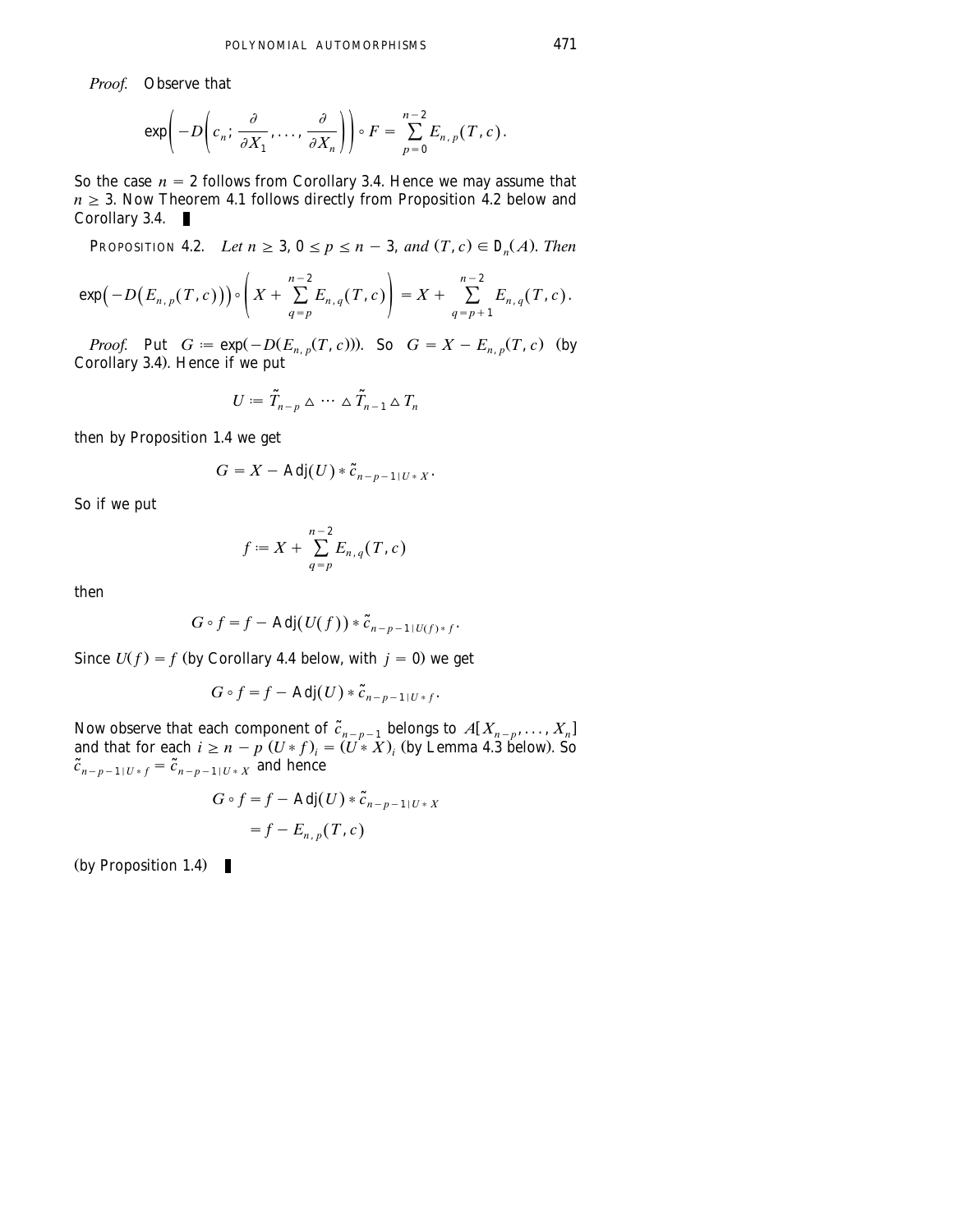*Proof.* Observe that

$$
\exp\bigg(-D\bigg(c_n;\frac{\partial}{\partial X_1},\ldots,\frac{\partial}{\partial X_n}\bigg)\bigg)\circ F=\sum_{p=0}^{n-2}E_{n,p}(T,c).
$$

So the case  $n = 2$  follows from Corollary 3.4. Hence we may assume that  $n \geq 3$ . Now Theorem 4.1 follows directly from Proposition 4.2 below and Corollary 3.4. ■

PROPOSITION 4.2. *Let*  $n \geq 3$ ,  $0 \leq p \leq n-3$ , and  $(T, c) \in D_n(A)$ . *Then* 

$$
\exp(-D(E_{n,p}(T,c)))\circ\left(X+\sum_{q=p}^{n-2}E_{n,q}(T,c)\right)=X+\sum_{q=p+1}^{n-2}E_{n,q}(T,c).
$$

*Proof.* Put  $G := \exp(-D(E_{n,p}(T, c)))$ . So  $G = X - E_{n,p}(T, c)$  (by Corollary 3.4). Hence if we put

$$
U:=\tilde{T}_{n-p}\triangleq\cdots\triangleq\tilde{T}_{n-1}\triangle T_n
$$

then by Proposition 1.4 we get

$$
G=X-\text{Adj}(U)*\tilde{c}_{n-p-1|U*X}.
$$

So if we put

$$
f := X + \sum_{q=p}^{n-2} E_{n,q}(T,c)
$$

then

$$
G\circ f=f-\mathrm{Adj}(U(f))*\tilde{c}_{n-p-1|U(f)*f}.
$$

Since  $U(f) = f$  (by Corollary 4.4 below, with  $j = 0$ ) we get

$$
G\circ f=f-\mathrm{Adj}(U)*\tilde{c}_{n-p-1|U*f}.
$$

Now observe that each component of  $\tilde{c}_{n-p-1}$  belongs to  $A[X_{n-p},...,X_n]$ and that for each  $i \ge n - p$   $(U * f)$ <sub>*i*</sub> =  $(U * X)$ <sub>*i*</sub> (by Lemma 4.3 below). So  $\tilde{c}_{n-p-1|U*f} = \tilde{c}_{n-p-1|U*f}$  and hence

$$
G \circ f = f - \text{Adj}(U) * \tilde{c}_{n-p-1|U^*X}
$$

$$
= f - E_{n,p}(T,c)
$$

(by Proposition 1.4)  $\blacksquare$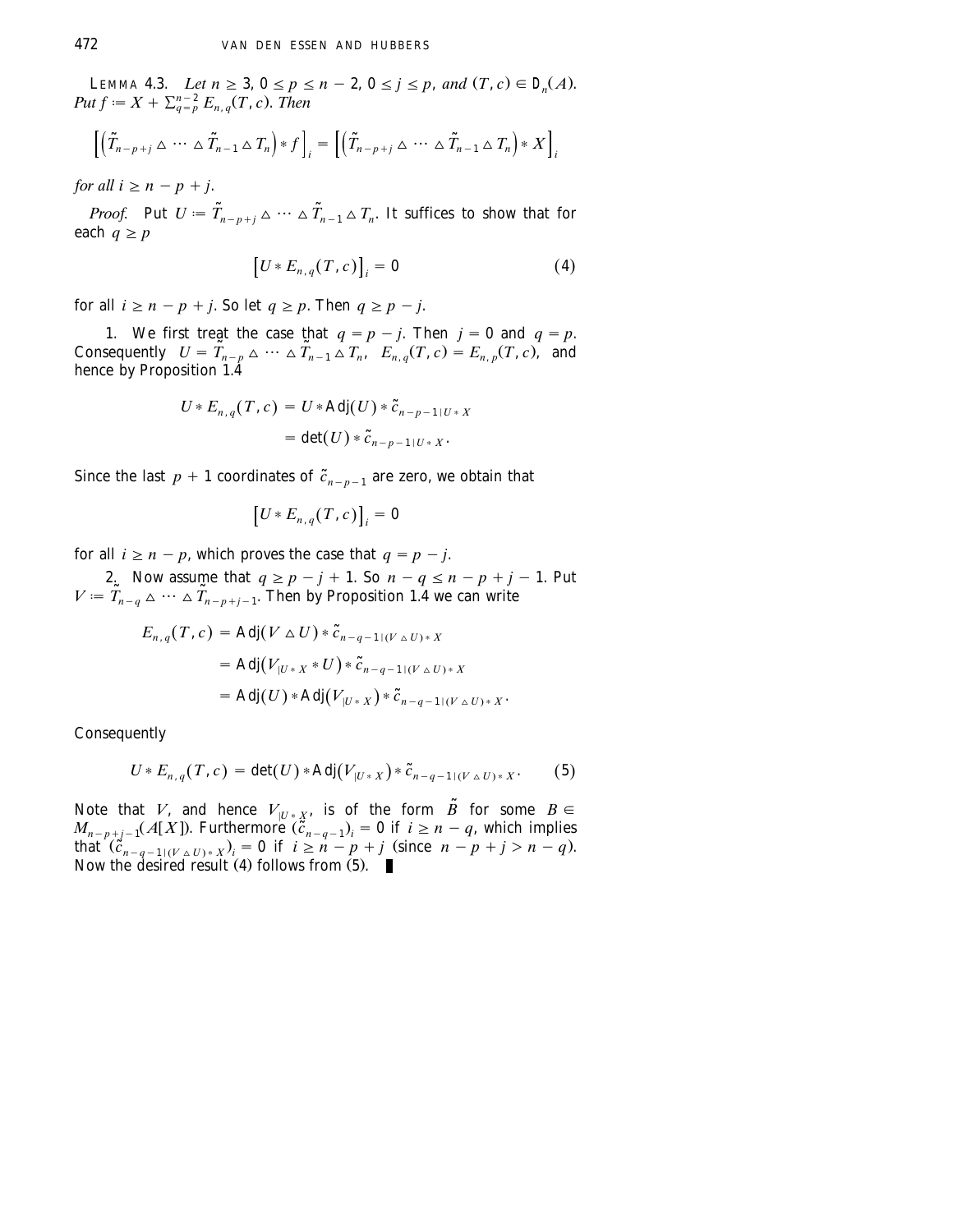LEMMA 4.3. Let  $n \ge 3$ ,  $0 \le p \le n - 2$ ,  $0 \le j \le p$ , and  $(T, c) \in D_n(A)$ .<br>Put  $f := X + \sum_{q=p}^{n-2} E_{n,q}(T, c)$ . Then

$$
\left[ \left( \tilde{T}_{n-p+j} \Delta \cdots \Delta \tilde{T}_{n-1} \Delta T_n \right) * f \right]_i = \left[ \left( \tilde{T}_{n-p+j} \Delta \cdots \Delta \tilde{T}_{n-1} \Delta T_n \right) * X \right]_i
$$

*for all*  $i \geq n - p + j$ .

*Proof.* Put  $U = \tilde{T}_{n-n+i} \Delta \cdots \Delta \tilde{T}_{n-1} \Delta T_n$ . It suffices to show that for each  $q \geq p$ 

$$
[U * E_{n,q}(T,c)]_i = 0 \tag{4}
$$

for all  $i \ge n - p + j$ . So let  $q \ge p$ . Then  $q \ge p - j$ .

1. We first treat the case that  $q = p - j$ . Then  $j = 0$  and  $q = p$ . Consequently  $U = \tilde{T}_{n-p} \triangleq \cdots \triangle \tilde{T}_{n-1} \triangle T_n$ ,  $E_{n,q} (T, c) = E_{n,p} (T, c)$ , and hence by Proposition  $1.4$ 

$$
U * E_{n,q}(T, c) = U * Adj(U) * \tilde{c}_{n-p-1|U * X}
$$
  
= det(U) \* \tilde{c}\_{n-p-1|U \* X}.

Since the last  $p + 1$  coordinates of  $\tilde{c}_{n-p-1}$  are zero, we obtain that

$$
\left[U*E_{n,q}(T,c)\right]_i=0
$$

for all  $i \ge n - p$ , which proves the case that  $q = p - j$ .

2. Now assume that  $q \ge p - j + 1$ . So  $n - q \le n - p + j - 1$ . Put  $V = \tilde{T}_{n-q} \triangleq \cdots \triangle \tilde{T}_{n-p+j-1}$ . Then by Proposition 1.4 we can write

$$
E_{n,q}(T, c) = \text{Adj}(V \triangle U) * \tilde{c}_{n-q-1|(V \triangle U)*X}
$$
  
= 
$$
\text{Adj}(V_{|U*X}*U) * \tilde{c}_{n-q-1|(V \triangle U)*X}
$$
  
= 
$$
\text{Adj}(U) * \text{Adj}(V_{|U*X}) * \tilde{c}_{n-q-1|(V \triangle U)*X}.
$$

Consequently

$$
U * E_{n,q}(T, c) = \det(U) * Adj(V_{|U * X}) * \tilde{c}_{n-q-1|(V \triangle U) * X}. \tag{5}
$$

Note that *V*, and hence  $V_{|U^*X}$ , is of the form  $\tilde{B}$  for some  $B \in$  $M_{n-p+j-1}(A[X])$ . Furthermore  $(\tilde{c}_{n-q-1})_i = 0$  if  $i \geq n-q$ , which implies that  $(\tilde{c}_{n-q-1|(\nu \Delta U)*X}^n)_i = 0$  if  $i \ge n-p+j$  (since  $n-p+j > n-q$ ). Now the desired result  $(4)$  follows from  $(5)$ .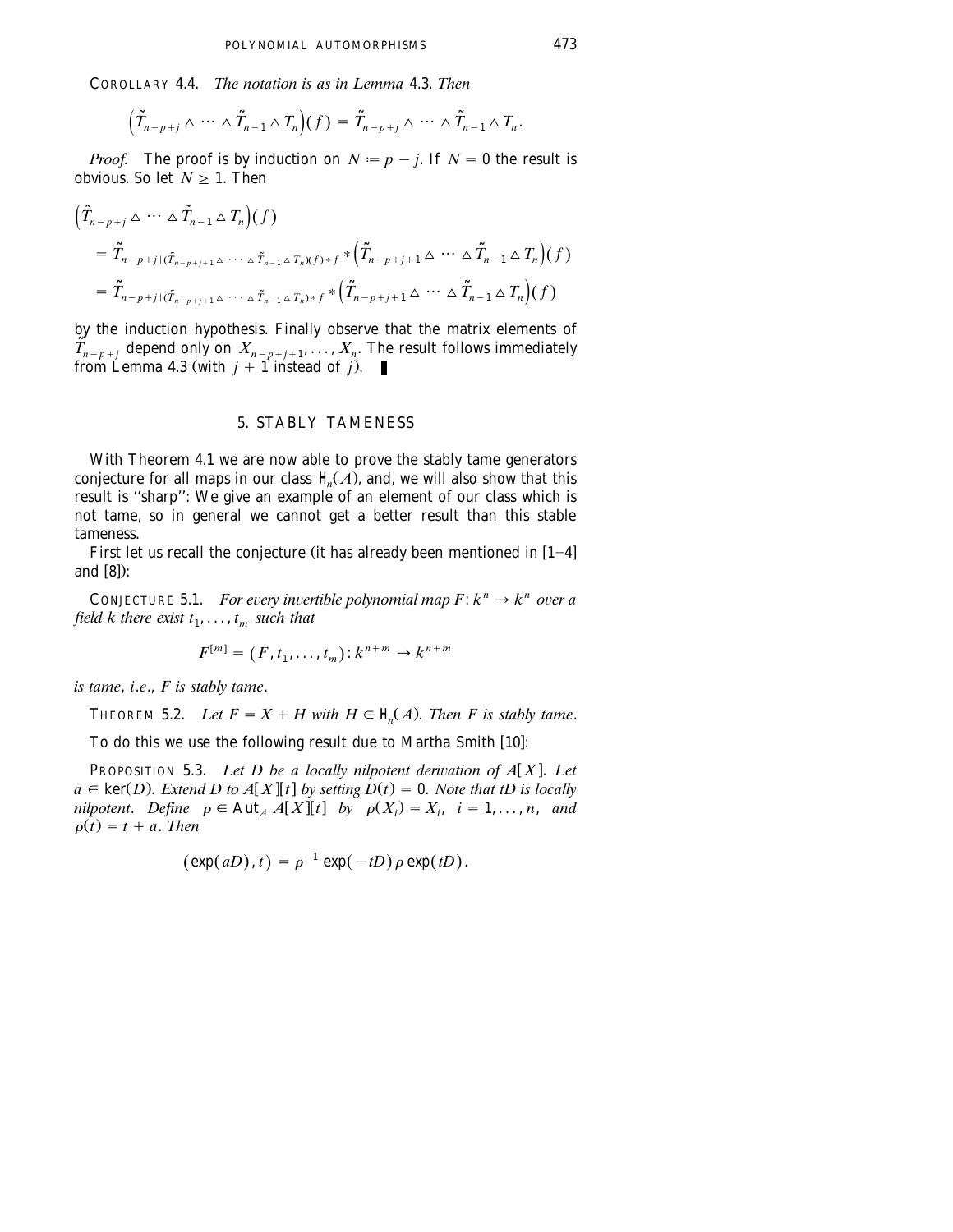COROLLARY 4.4. *The notation is as in Lemma* 4.3. *Then*

$$
\left(\tilde{T}_{n-p+j}\triangleq\cdots\triangleq\tilde{T}_{n-1}\triangleq T_n\right)(f)=\tilde{T}_{n-p+j}\triangleq\cdots\triangleq\tilde{T}_{n-1}\triangleq T_n.
$$

*Proof.* The proof is by induction on  $N := p - j$ . If  $N = 0$  the result is obvious. So let  $N > 1$ . Then

$$
\begin{aligned}\n\left(\tilde{T}_{n-p+j} \triangle \cdots \triangle \tilde{T}_{n-1} \triangle T_n\right)(f) \\
= \tilde{T}_{n-p+j} \left(\tilde{T}_{n-p+j+1} \triangle \cdots \triangle \tilde{T}_{n-1} \triangle T_n\right)(f) \\
= \tilde{T}_{n-p+j} \left(\tilde{T}_{n-p+j+1} \triangle \cdots \triangle \tilde{T}_{n-1} \triangle T_n\right)(f) \\
= \tilde{T}_{n-p+j} \left(\tilde{T}_{n-p+j+1} \triangle \cdots \triangle \tilde{T}_{n-1} \triangle T_n\right) * f * \left(\tilde{T}_{n-p+j+1} \triangle \cdots \triangle \tilde{T}_{n-1} \triangle T_n\right)(f)\n\end{aligned}
$$

by the induction hypothesis. Finally observe that the matrix elements of  $\tilde{T}$ <sup>n</sup><sub>n-p+j</sub> depend only on  $X$ <sub>n-p+j+1</sub>,...,  $X$ <sub>n</sub>. The result follows immediately from Lemma 4.3 (with  $j + 1$  instead of *j*).

### 5. STABLY TAMENESS

With Theorem 4.1 we are now able to prove the stably tame generators conjecture for all maps in our class  $\mathcal{H}(A)$ , and, we will also show that this result is ''sharp'': We give an example of an element of our class which is not tame, so in general we cannot get a better result than this stable tameness.

First let us recall the conjecture (it has already been mentioned in  $[1-4]$ and  $[8]$ :

CONJECTURE 5.1. *For every invertible polynomial map*  $F: k^n \to k^n$  *over a field k there exist*  $t_1, \ldots, t_m$  *such that* 

$$
F^{[m]} = (F, t_1, \ldots, t_m) \colon k^{n+m} \to k^{n+m}
$$

*is tame*, *i*.*e*., *F is stably tame*.

THEOREM 5.2. *Let*  $F = X + H$  with  $H \in \mathcal{H}(A)$ . *Then F* is stably tame.

To do this we use the following result due to Martha Smith [10]:

**PROPOSITION 5.3.** *Let D be a locally nilpotent derivation of A[X]. Let*  $a \in \text{ker}(D)$ . *Extend D to A[X][t] by setting D(t)* = 0. *Note that tD is locally nilpotent. Define*  $\rho \in Aut_A A[X][t]$  *by*  $\rho(X_i) = X_i$ ,  $i = 1, ..., n$ , and  $\rho(t) = t + a$ . *Then* 

$$
(\exp(aD), t) = \rho^{-1} \exp(-tD) \rho \exp(tD).
$$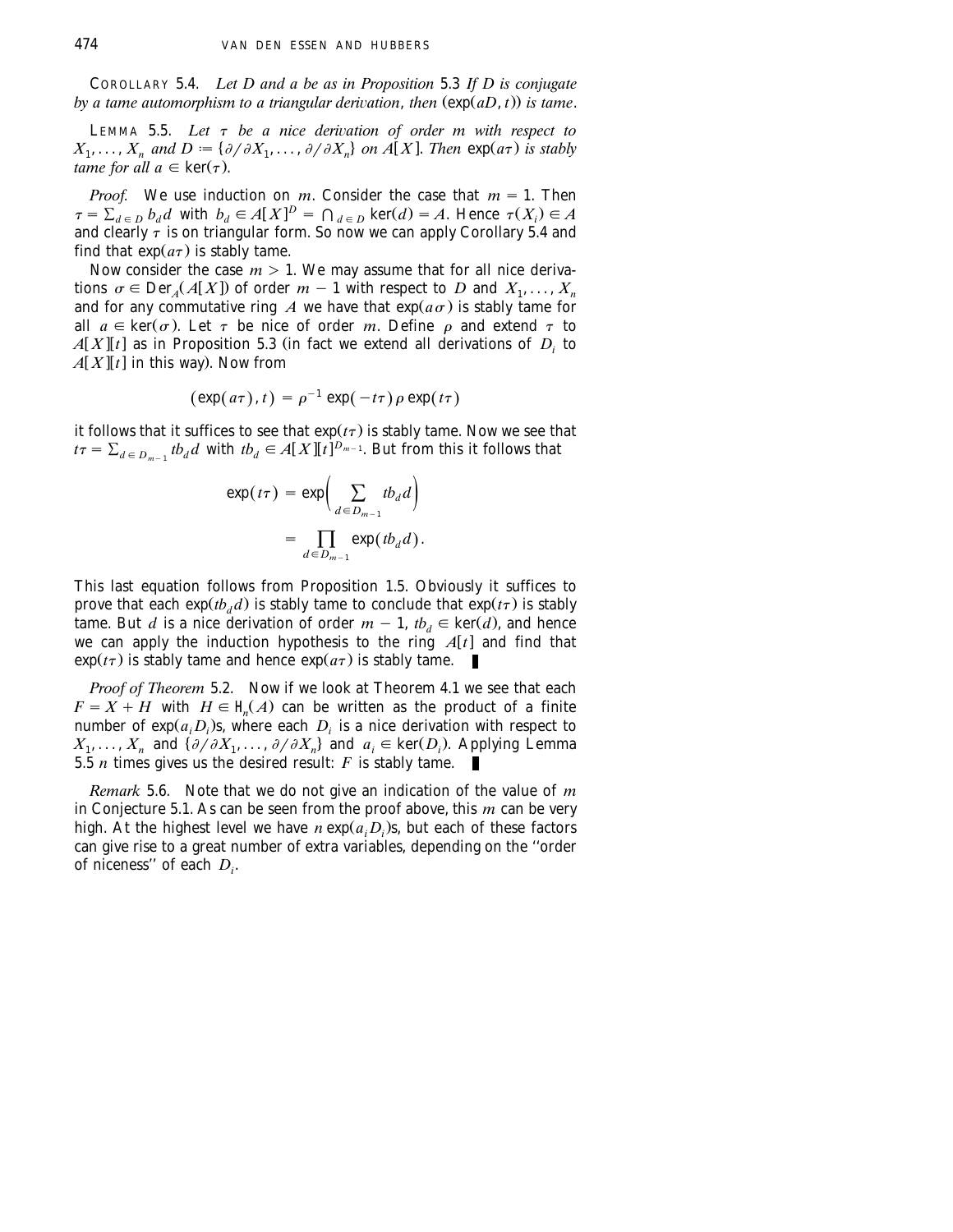COROLLARY 5.4. *Let D and a be as in Proposition* 5.3 *If D is conjugate by a tame automorphism to a triangular derivation, then*  $(exp(aD, t))$  *is tame.* 

LEMMA 5.5. Let  $\tau$  be a nice derivation of order m with respect to  $X_1, \ldots, X_n$  and  $D := \{ \partial/\partial X_1, \ldots, \partial/\partial X_n \}$  on  $A[X]$ . Then  $\exp(a\tau)$  is stably *tame for all a*  $\in$  **ker** $(\tau)$ .

*Proof.* We use induction on *m*. Consider the case that  $m = 1$ . Then  $\tau = \sum_{d \in D} b_d d$  with  $b_d \in A[X]^D = \bigcap_{d \in D} \ker(d) = A$ . Hence  $\tau(X_i) \in A$ and clearly  $\tau$  is on triangular form. So now we can apply Corollary 5.4 and find that  $exp(a\tau)$  is stably tame.

Now consider the case  $m > 1$ . We may assume that for all nice derivations  $\sigma \in \text{Der}_{A}(A[X])$  of order  $m-1$  with respect to *D* and  $X_1, \ldots, X_n$ and for any commutative ring *A* we have that  $exp(a\sigma)$  is stably tame for all  $a \in \text{ker}(\sigma)$ . Let  $\tau$  be nice of order *m*. Define  $\rho$  and extend  $\tau$  to  $A[X][t]$  as in Proposition 5.3 (in fact we extend all derivations of  $D_i$  to  $A[X][t]$  in this way). Now from

$$
(\exp(a\tau),t)=\rho^{-1}\exp(-t\tau)\rho\exp(t\tau)
$$

it follows that it suffices to see that  $\exp(t\tau)$  is stably tame. Now we see that  $t\tau = \sum_{d \in D_{m-1}} t b_d d$  with  $t b_d \in A[X][\![t]\!]^{D_{m-1}}$ . But from this it follows that

$$
\exp(t\tau) = \exp\left(\sum_{d \in D_{m-1}} t b_d d\right)
$$

$$
= \prod_{d \in D_{m-1}} \exp(t b_d d).
$$

This last equation follows from Proposition 1.5. Obviously it suffices to prove that each  $exp(t b_d d)$  is stably tame to conclude that  $exp(t \tau)$  is stably tame. But *d* is a nice derivation of order  $m - 1$ ,  $tb_d \in \text{ker}(\overline{d})$ , and hence we can apply the induction hypothesis to the ring  $A[t]$  and find that  $\exp(t\tau)$  is stably tame and hence  $\exp(a\tau)$  is stably tame.

*Proof of Theorem* 5.2. Now if we look at Theorem 4.1 we see that each  $F = X + H$  with  $H \in \mathcal{H}(A)$  can be written as the product of a finite number of  $exp(a_i D_i)$ s, where each  $D_i$  is a nice derivation with respect to  $X_1, \ldots, X_n$  and  $\{\partial/\partial X_1, \ldots, \partial/\partial X_n\}$  and  $a_i \in \text{ker}(D_i)$ . Applying Lemma 5.5 *n* times gives us the desired result: *F* is stably tame.

*Remark* 5.6. Note that we do not give an indication of the value of *m* in Conjecture 5.1. As can be seen from the proof above, this *m* can be very high. At the highest level we have  $n \exp(a, D)$ , but each of these factors can give rise to a great number of extra variables, depending on the ''order of niceness" of each  $D_i$ .